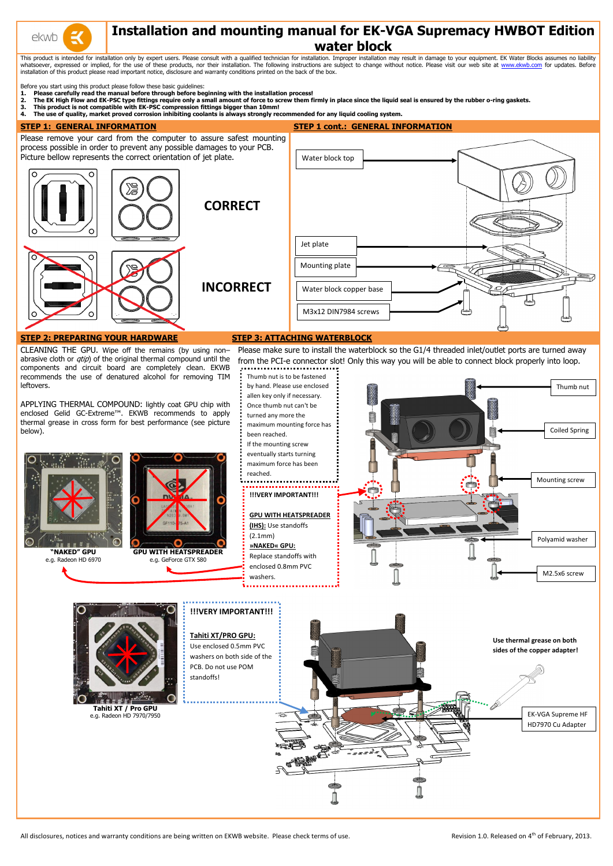

# **Installation and mounting manual for EK-VGA Supremacy HWBOT Edition water block**

This product is intended for installation only by expert users. Please consult with a qualified technician for installation. Improper installation may result in damage to your equipment. EK Water Blocks assumes no liabilit whatsoever, expressed or implied, for the use of these products, nor their installation. The following instructions are subject to change without notice. Please visit our web site at [www.ekwb.com](http://www.ekwb.com/) for updates. Before installation of this product please read important notice, disclosure and warranty conditions printed on the back of the box.

Before you start using this product please follow these basic guidelines:

- **1. Please carefully read the manual before through before beginning with the installation process!**
- **2. The EK High Flow and EK-PSC type fittings require only a small amount of force to screw them firmly in place since the liquid seal is ensured by the rubber o-ring gaskets.**
- **3. This product is not compatible with EK-PSC compression fittings bigger than 10mm!**
- **4. The use of quality, market proved corrosion inhibiting coolants is always strongly recommended for any liquid cooling system.**

**STEP 1: GENERAL INFORMATION STEP 1 cont.: GENERAL INFORMATION**



**Use thermal grease on both sides of the copper adapter!**



All disclosures, notices and warranty conditions are being written on EKWB website. Please check terms of use.

Use enclosed 0.5mm PVC

Revision 1.0. Released on 4<sup>th</sup> of February, 2013.